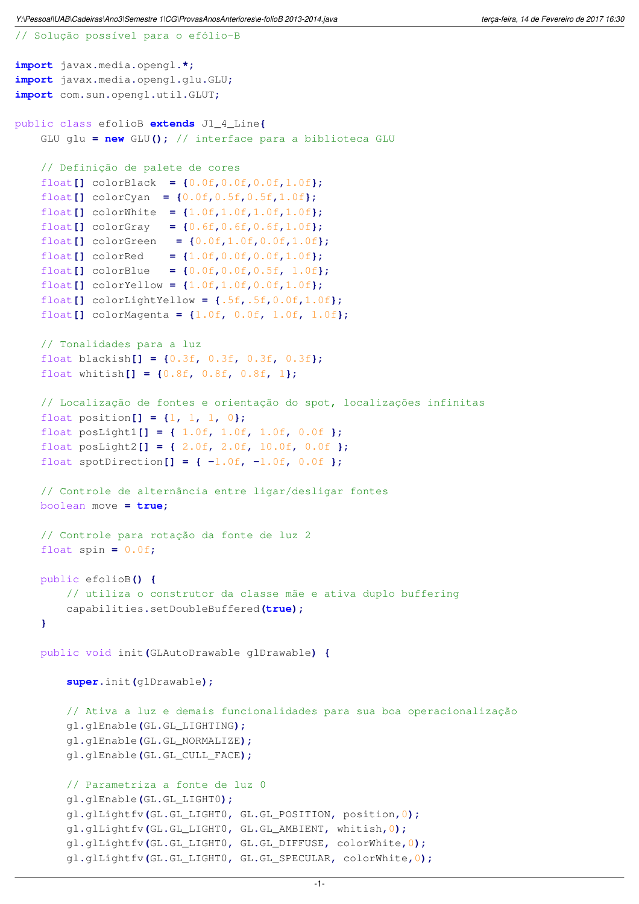```
// Solução possível para o efólio-B
import javax.media.opengl.*;
import javax.media.opengl.glu.GLU;
import com.sun.opengl.util.GLUT;
public class efolioB extends J1_4_Line{
    GLU glu = new GLU(); // interface para a biblioteca GLU
    // Definição de palete de cores
    float[] colorBlack = {0.0f,0.0f,0.0f,1.0f};
    float[] colorCyan = {0.0f,0.5f,0.5f,1.0f};
    float[] colorWhite = {1.0f,1.0f,1.0f,1.0f};
   float[] colorGray = {0.6f,0.6f,0.6f,1.0f};
    float[] colorGreen = {0.0f,1.0f,0.0f,1.0f};
    float[] colorRed = {1.0f,0.0f,0.0f,1.0f};
    float[] colorBlue = {0.0f,0.0f,0.5f, 1.0f};
    float[] colorYellow = {1.0f,1.0f,0.0f,1.0f};
    float[] colorLightYellow = {.5f,.5f,0.0f,1.0f};
    float[] colorMagenta = {1.0f, 0.0f, 1.0f, 1.0f};
    // Tonalidades para a luz
    float blackish[] = {0.3f, 0.3f, 0.3f, 0.3f};
    float whitish[] = {0.8f, 0.8f, 0.8f, 1};
    // Localização de fontes e orientação do spot, localizações infinitas
    float position[ ] = {1, 1, 1, 0};float posLight1[] = { 1.0f, 1.0f, 1.0f, 0.0f };
    float posLight2[] = { 2.0f, 2.0f, 10.0f, 0.0f };
    float spotDirection[] = { -1.0f, -1.0f, 0.0f };
    // Controle de alternância entre ligar/desligar fontes
   boolean move = true;
    // Controle para rotação da fonte de luz 2
    float spin = 0.0f;
   public efolioB() {
        // utiliza o construtor da classe mãe e ativa duplo buffering
        capabilities.setDoubleBuffered(true);
    }
   public void init(GLAutoDrawable glDrawable) {
        super.init(glDrawable);
        // Ativa a luz e demais funcionalidades para sua boa operacionalização
        gl.glEnable(GL.GL_LIGHTING);
        gl.glEnable(GL.GL_NORMALIZE);
        gl.glEnable(GL.GL_CULL_FACE);
        // Parametriza a fonte de luz 0
        gl.glEnable(GL.GL_LIGHT0);
        gl.glLightfv(GL.GL_LIGHT0, GL.GL_POSITION, position,0);
        gl.glLightfv(GL.GL_LIGHT0, GL.GL_AMBIENT, whitish,0);
        gl.glLightfv(GL.GL_LIGHT0, GL.GL_DIFFUSE, colorWhite,0);
        gl.glLightfv(GL.GL_LIGHT0, GL.GL_SPECULAR, colorWhite,0);
```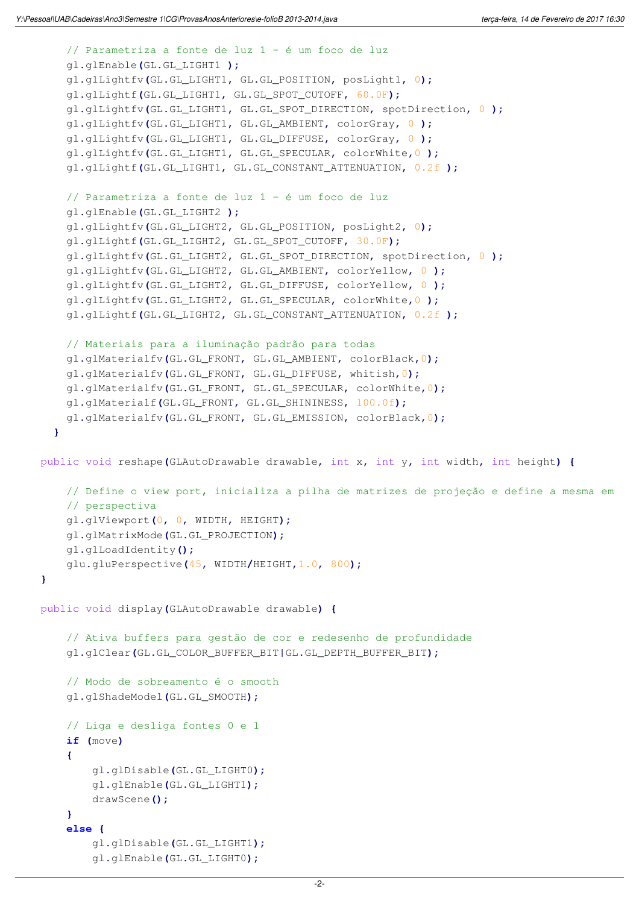```
// Parametriza a fonte de luz 1 - é um foco de luz
    gl.glEnable(GL.GL_LIGHT1 );
    gl.glLightfv(GL.GL_LIGHT1, GL.GL_POSITION, posLight1, 0);
    gl.glLightf(GL.GL_LIGHT1, GL.GL_SPOT_CUTOFF, 60.0F);
    gl.glLightfv(GL.GL_LIGHT1, GL.GL_SPOT_DIRECTION, spotDirection, 0 );
    gl.glLightfv(GL.GL_LIGHT1, GL.GL_AMBIENT, colorGray, 0 );
    gl.glLightfv(GL.GL_LIGHT1, GL.GL_DIFFUSE, colorGray, 0 );
    gl.glLightfv(GL.GL_LIGHT1, GL.GL_SPECULAR, colorWhite,0 );
    gl.glLightf(GL.GL_LIGHT1, GL.GL_CONSTANT_ATTENUATION, 0.2f );
    // Parametriza a fonte de luz 1 - é um foco de luz
    gl.glEnable(GL.GL_LIGHT2 );
    gl.glLightfv(GL.GL_LIGHT2, GL.GL_POSITION, posLight2, 0);
    gl.glLightf(GL.GL_LIGHT2, GL.GL_SPOT_CUTOFF, 30.0F);
    gl.glLightfv(GL.GL_LIGHT2, GL.GL_SPOT_DIRECTION, spotDirection, 0 );
    gl.glLightfv(GL.GL_LIGHT2, GL.GL_AMBIENT, colorYellow, 0 );
    gl.glLightfv(GL.GL_LIGHT2, GL.GL_DIFFUSE, colorYellow, 0 );
    gl.glLightfv(GL.GL_LIGHT2, GL.GL_SPECULAR, colorWhite,0 );
    gl.glLightf(GL.GL_LIGHT2, GL.GL_CONSTANT_ATTENUATION, 0.2f );
    // Materiais para a iluminação padrão para todas
    gl.glMaterialfv(GL.GL_FRONT, GL.GL_AMBIENT, colorBlack,0);
    gl.glMaterialfv(GL.GL_FRONT, GL.GL_DIFFUSE, whitish,0);
    gl.glMaterialfv(GL.GL_FRONT, GL.GL_SPECULAR, colorWhite,0);
   gl.glMaterialf(GL.GL_FRONT, GL.GL_SHININESS, 100.0f);
    gl.glMaterialfv(GL.GL_FRONT, GL.GL_EMISSION, colorBlack,0);
  }
public void reshape(GLAutoDrawable drawable, int x, int y, int width, int height) {
    // Define o view port, inicializa a pilha de matrizes de projeção e define a mesma em 
    // perspectiva
    gl.glViewport(0, 0, WIDTH, HEIGHT);
    gl.glMatrixMode(GL.GL_PROJECTION);
    gl.glLoadIdentity();
   glu.gluPerspective(45, WIDTH/HEIGHT,1.0, 800);
}
public void display(GLAutoDrawable drawable) {
    // Ativa buffers para gestão de cor e redesenho de profundidade
    gl.glClear(GL.GL_COLOR_BUFFER_BIT|GL.GL_DEPTH_BUFFER_BIT);
    // Modo de sobreamento é o smooth
    gl.glShadeModel(GL.GL_SMOOTH);
    // Liga e desliga fontes 0 e 1
    if (move)
    {
        gl.glDisable(GL.GL_LIGHT0);
        gl.glEnable(GL.GL_LIGHT1);
        drawScene();
    }
    else {
        gl.glDisable(GL.GL_LIGHT1);
        gl.glEnable(GL.GL_LIGHT0);
```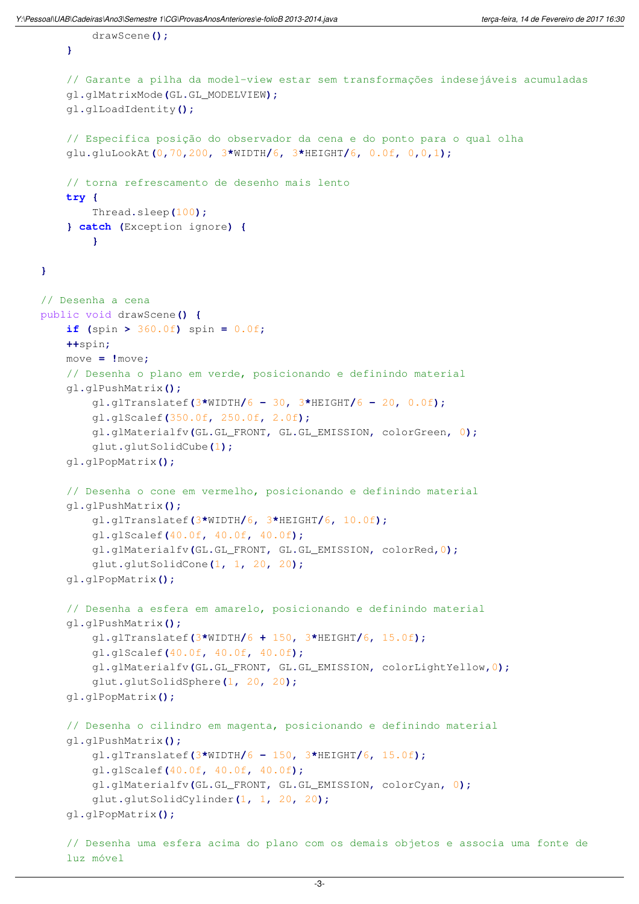drawScene**();**

**}**

luz móvel

```
}
    // Garante a pilha da model-view estar sem transformações indesejáveis acumuladas
    gl.glMatrixMode(GL.GL_MODELVIEW);
    gl.glLoadIdentity();
    // Especifica posição do observador da cena e do ponto para o qual olha
    glu.gluLookAt(0,70,200, 3*WIDTH/6, 3*HEIGHT/6, 0.0f, 0,0,1);
    // torna refrescamento de desenho mais lento
   try {
       Thread.sleep(100);
    } catch (Exception ignore) {
        }
// Desenha a cena
public void drawScene() {
    if (spin > 360.0f) spin = 0.0f;
   ++spin;
   move = !move;
    // Desenha o plano em verde, posicionando e definindo material
    gl.glPushMatrix();
        gl.glTranslatef(3*WIDTH/6 - 30, 3*HEIGHT/6 - 20, 0.0f);
        gl.glScalef(350.0f, 250.0f, 2.0f);
        gl.glMaterialfv(GL.GL_FRONT, GL.GL_EMISSION, colorGreen, 0);
        glut.glutSolidCube(1);
    gl.glPopMatrix();
    // Desenha o cone em vermelho, posicionando e definindo material
    gl.glPushMatrix();
        gl.glTranslatef(3*WIDTH/6, 3*HEIGHT/6, 10.0f);
        gl.glScalef(40.0f, 40.0f, 40.0f);
        gl.glMaterialfv(GL.GL_FRONT, GL.GL_EMISSION, colorRed,0);
        glut.glutSolidCone(1, 1, 20, 20);
    gl.glPopMatrix();
    // Desenha a esfera em amarelo, posicionando e definindo material
    gl.glPushMatrix();
        gl.glTranslatef(3*WIDTH/6 + 150, 3*HEIGHT/6, 15.0f);
        gl.glScalef(40.0f, 40.0f, 40.0f);
        gl.glMaterialfv(GL.GL_FRONT, GL.GL_EMISSION, colorLightYellow,0);
        glut.glutSolidSphere(1, 20, 20);
    gl.glPopMatrix();
    // Desenha o cilindro em magenta, posicionando e definindo material
    gl.glPushMatrix();
        gl.glTranslatef(3*WIDTH/6 - 150, 3*HEIGHT/6, 15.0f);
        gl.glScalef(40.0f, 40.0f, 40.0f);
        gl.glMaterialfv(GL.GL_FRONT, GL.GL_EMISSION, colorCyan, 0);
        glut.glutSolidCylinder(1, 1, 20, 20);
    gl.glPopMatrix();
    // Desenha uma esfera acima do plano com os demais objetos e associa uma fonte de
```

```
-3-
```